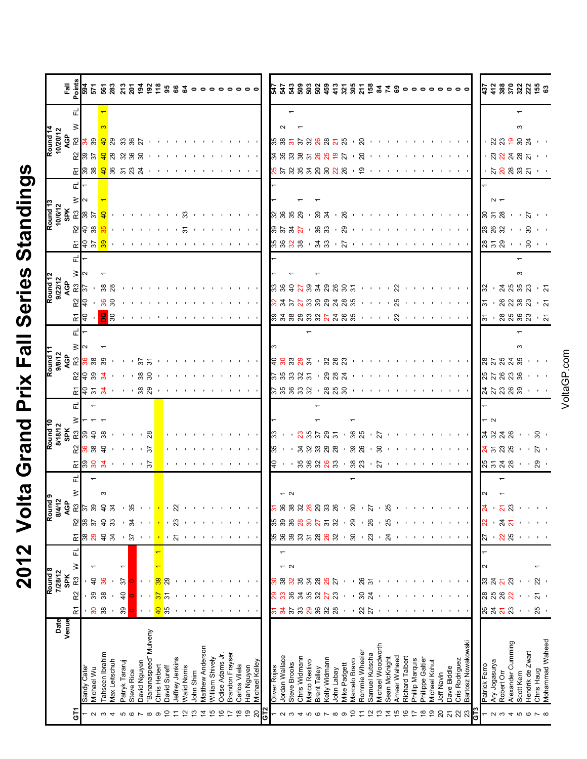| Ì<br>$\frac{1}{1}$ |
|--------------------|
| Ì<br>Ċ             |
| Series             |
| $\frac{1}{\alpha}$ |
| $\sum$<br>Ì        |
| <u>idd</u>         |
|                    |
| くくく                |

|                     |                                                       | 흲          |                      |                                   |                 |               |                |            | ទី ត្រូ ចូ នូ វូ វូ ខ្ញុំ ទូ ទូ ទូ ន ន ទ ុ                                                                                                                                                                                                                                                                                                                                                                                                                                 |              |              |                 |                     |           |                  |                 |                 |               |                                     |                |              |                |                 |               |                           |                |                |              |                                 |                |                   | <b>3238888\$</b> \$\$\$\$\$\$\$\$ <b>8</b> |                 |                 | $\circ \circ \circ \circ$ |                |                |                                                                                                                                                                                                                                                                            |                |               |               |                         |                   | <b>ដ្រី ភ្នំ និ</b> ង អ្នក និ                                                                                                                                                                                                                                                                                                                                                                                                                                     |                           |                 |
|---------------------|-------------------------------------------------------|------------|----------------------|-----------------------------------|-----------------|---------------|----------------|------------|----------------------------------------------------------------------------------------------------------------------------------------------------------------------------------------------------------------------------------------------------------------------------------------------------------------------------------------------------------------------------------------------------------------------------------------------------------------------------|--------------|--------------|-----------------|---------------------|-----------|------------------|-----------------|-----------------|---------------|-------------------------------------|----------------|--------------|----------------|-----------------|---------------|---------------------------|----------------|----------------|--------------|---------------------------------|----------------|-------------------|--------------------------------------------|-----------------|-----------------|---------------------------|----------------|----------------|----------------------------------------------------------------------------------------------------------------------------------------------------------------------------------------------------------------------------------------------------------------------------|----------------|---------------|---------------|-------------------------|-------------------|-------------------------------------------------------------------------------------------------------------------------------------------------------------------------------------------------------------------------------------------------------------------------------------------------------------------------------------------------------------------------------------------------------------------------------------------------------------------|---------------------------|-----------------|
|                     |                                                       |            |                      |                                   |                 |               |                |            |                                                                                                                                                                                                                                                                                                                                                                                                                                                                            |              |              |                 |                     |           |                  |                 |                 |               |                                     |                |              |                |                 |               |                           |                |                |              |                                 |                |                   |                                            |                 |                 |                           |                |                |                                                                                                                                                                                                                                                                            |                |               |               |                         |                   |                                                                                                                                                                                                                                                                                                                                                                                                                                                                   |                           |                 |
|                     |                                                       |            |                      |                                   |                 |               |                |            |                                                                                                                                                                                                                                                                                                                                                                                                                                                                            |              |              |                 |                     |           |                  |                 |                 |               |                                     |                |              |                |                 |               |                           |                |                |              |                                 |                |                   |                                            |                 |                 |                           |                |                |                                                                                                                                                                                                                                                                            |                |               |               |                         |                   |                                                                                                                                                                                                                                                                                                                                                                                                                                                                   |                           |                 |
| Round <sub>14</sub> | 10/20/12                                              |            |                      |                                   |                 |               |                |            | <mark>ជងនា ទ</mark> ួន ននន សារស្រប់ ប្រ                                                                                                                                                                                                                                                                                                                                                                                                                                    |              |              |                 |                     |           |                  |                 |                 |               |                                     |                |              |                |                 |               |                           |                |                |              |                                 |                |                   |                                            |                 |                 |                           |                |                |                                                                                                                                                                                                                                                                            |                |               |               |                         |                   | <mark>୫୫. ୫. ୫. ୫. ୫. ୧. ୫</mark> . ୧. ୧. ୧. ୧. ୧. ୧. ୧. ୧. ୧. ୧. ୧. <mark> </mark> ୧. ୫. <del>୧. ୫. ୫.</del> ୧. ୧. ୧.                                                                                                                                                                                                                                                                                                                                            |                           |                 |
|                     |                                                       |            |                      |                                   |                 |               |                |            |                                                                                                                                                                                                                                                                                                                                                                                                                                                                            |              |              |                 |                     |           |                  |                 |                 |               |                                     |                |              |                |                 |               |                           |                |                |              |                                 |                |                   |                                            |                 |                 |                           |                |                |                                                                                                                                                                                                                                                                            |                |               |               |                         |                   | $-333337$                                                                                                                                                                                                                                                                                                                                                                                                                                                         |                           |                 |
|                     |                                                       |            |                      |                                   |                 |               |                |            |                                                                                                                                                                                                                                                                                                                                                                                                                                                                            |              |              |                 |                     |           |                  |                 |                 |               |                                     |                |              |                |                 |               |                           |                |                |              |                                 |                |                   |                                            |                 |                 |                           |                |                |                                                                                                                                                                                                                                                                            |                |               |               |                         |                   |                                                                                                                                                                                                                                                                                                                                                                                                                                                                   |                           |                 |
|                     |                                                       |            |                      |                                   |                 |               |                |            |                                                                                                                                                                                                                                                                                                                                                                                                                                                                            |              |              |                 |                     |           |                  |                 |                 |               |                                     |                |              |                |                 |               |                           |                |                |              |                                 |                |                   |                                            |                 |                 |                           |                |                |                                                                                                                                                                                                                                                                            |                |               |               |                         |                   |                                                                                                                                                                                                                                                                                                                                                                                                                                                                   |                           |                 |
|                     |                                                       |            |                      |                                   |                 |               |                |            |                                                                                                                                                                                                                                                                                                                                                                                                                                                                            |              |              |                 |                     |           |                  |                 |                 |               |                                     |                |              |                |                 |               |                           |                |                |              |                                 |                |                   |                                            |                 |                 |                           |                |                |                                                                                                                                                                                                                                                                            |                |               |               |                         |                   |                                                                                                                                                                                                                                                                                                                                                                                                                                                                   |                           |                 |
| Round <sub>13</sub> | 10/6/12<br>SPK                                        |            |                      | <mark>ិង</mark> នៃ <mark>ទ</mark> |                 |               |                |            | $\mathcal{A}^{\mathcal{A}}\left(\mathcal{A}^{\mathcal{A}}\right)=\mathcal{A}^{\mathcal{A}}\left(\mathcal{A}^{\mathcal{A}}\right)=\mathcal{A}^{\mathcal{A}}\left(\mathcal{A}^{\mathcal{A}}\right)=\mathcal{A}^{\mathcal{A}}\left(\mathcal{A}^{\mathcal{A}}\right)=\mathcal{A}^{\mathcal{A}}\left(\mathcal{A}^{\mathcal{A}}\right)=\mathcal{A}^{\mathcal{A}}\left(\mathcal{A}^{\mathcal{A}}\right)=\mathcal{A}^{\mathcal{A}}\left(\mathcal{A}^{\mathcal{A}}\right)=\mathcal$ |              |              |                 |                     |           |                  |                 |                 |               |                                     |                |              |                |                 |               |                           |                |                |              |                                 |                |                   |                                            |                 |                 |                           |                |                |                                                                                                                                                                                                                                                                            |                |               |               |                         |                   | $-258 + 5 + 1$                                                                                                                                                                                                                                                                                                                                                                                                                                                    |                           |                 |
|                     |                                                       |            |                      |                                   |                 |               |                |            |                                                                                                                                                                                                                                                                                                                                                                                                                                                                            |              |              |                 |                     |           |                  |                 |                 |               |                                     |                |              |                |                 |               |                           |                |                |              |                                 |                |                   |                                            |                 |                 |                           |                |                | $\begin{bmatrix} 0.05 & 0.05 & 0.05 & 0.05 & 0.05 & 0.05 & 0.05 & 0.05 & 0.05 & 0.05 & 0.05 & 0.05 & 0.05 & 0.05 & 0.05 & 0.05 & 0.05 & 0.05 & 0.05 & 0.05 & 0.05 & 0.05 & 0.05 & 0.05 & 0.05 & 0.05 & 0.05 & 0.05 & 0.05 & 0.05 & 0.05 & 0.05 & 0.05 & 0.05 & 0.05 & 0.0$ |                |               |               |                         |                   | $\begin{array}{ccc} 8888 & \cdot & 8 \\ \cdot & \cdot & \cdot \end{array}$                                                                                                                                                                                                                                                                                                                                                                                        |                           |                 |
|                     |                                                       |            |                      |                                   |                 |               |                |            | 교 <mark>요영 이 나는 어머니가 어머니가 어머니가 어디</mark> ?                                                                                                                                                                                                                                                                                                                                                                                                                                 |              |              |                 |                     |           |                  |                 |                 |               |                                     |                |              |                |                 |               |                           |                |                |              |                                 |                |                   |                                            |                 |                 |                           |                |                | <b>88888 · 종8 · 동 · • • • • • • • • • • • • • • •</b>                                                                                                                                                                                                                      |                |               |               |                         |                   | $858 + 8 + 1$                                                                                                                                                                                                                                                                                                                                                                                                                                                     |                           |                 |
|                     |                                                       |            |                      |                                   |                 |               |                |            |                                                                                                                                                                                                                                                                                                                                                                                                                                                                            |              |              |                 |                     |           |                  |                 |                 |               |                                     |                |              |                |                 |               |                           |                |                |              |                                 |                |                   |                                            |                 |                 |                           |                |                |                                                                                                                                                                                                                                                                            |                |               |               |                         |                   |                                                                                                                                                                                                                                                                                                                                                                                                                                                                   |                           |                 |
|                     |                                                       |            |                      |                                   |                 |               |                |            |                                                                                                                                                                                                                                                                                                                                                                                                                                                                            |              |              |                 |                     |           |                  |                 |                 |               |                                     |                |              |                |                 |               |                           |                |                |              |                                 |                |                   |                                            |                 |                 |                           |                |                |                                                                                                                                                                                                                                                                            |                |               |               |                         |                   |                                                                                                                                                                                                                                                                                                                                                                                                                                                                   |                           |                 |
|                     | Round 12<br>9/22/12<br>AGP<br>R3 W<br>R3 W<br>40 37 2 |            |                      |                                   |                 |               |                |            |                                                                                                                                                                                                                                                                                                                                                                                                                                                                            |              |              |                 |                     |           |                  |                 |                 |               |                                     |                |              |                |                 |               |                           |                |                |              |                                 |                |                   |                                            |                 |                 |                           |                |                |                                                                                                                                                                                                                                                                            |                |               |               |                         |                   |                                                                                                                                                                                                                                                                                                                                                                                                                                                                   |                           |                 |
|                     |                                                       |            | R2                   | ЪŁ                                |                 | .88           |                |            |                                                                                                                                                                                                                                                                                                                                                                                                                                                                            |              |              |                 |                     |           |                  |                 |                 |               |                                     |                |              |                |                 |               |                           |                |                |              |                                 |                |                   |                                            |                 |                 |                           |                |                |                                                                                                                                                                                                                                                                            |                |               |               |                         |                   | $\frac{1}{2}$ $\frac{1}{2}$ $\frac{1}{2}$ $\frac{1}{2}$ $\frac{1}{2}$ $\frac{1}{2}$ $\frac{1}{2}$ $\frac{1}{2}$ $\frac{1}{2}$ $\frac{1}{2}$ $\frac{1}{2}$ $\frac{1}{2}$ $\frac{1}{2}$ $\frac{1}{2}$ $\frac{1}{2}$ $\frac{1}{2}$ $\frac{1}{2}$ $\frac{1}{2}$ $\frac{1}{2}$ $\frac{1}{2}$ $\frac{1}{2}$ $\frac{1}{2}$                                                                                                                                               |                           |                 |
|                     |                                                       |            |                      |                                   |                 | 98            |                |            |                                                                                                                                                                                                                                                                                                                                                                                                                                                                            |              |              |                 |                     |           |                  |                 |                 |               |                                     |                |              |                |                 |               |                           |                |                |              |                                 |                |                   |                                            |                 |                 |                           |                |                |                                                                                                                                                                                                                                                                            |                |               |               |                         |                   | $\frac{1}{6}$ , ឌី ឌី ឌី ឌី , ឌី                                                                                                                                                                                                                                                                                                                                                                                                                                  |                           |                 |
|                     |                                                       |            |                      |                                   |                 |               |                |            |                                                                                                                                                                                                                                                                                                                                                                                                                                                                            |              |              |                 |                     |           |                  |                 |                 |               |                                     |                |              |                |                 |               |                           |                |                |              |                                 |                |                   |                                            |                 |                 |                           |                |                |                                                                                                                                                                                                                                                                            |                |               |               |                         |                   |                                                                                                                                                                                                                                                                                                                                                                                                                                                                   |                           |                 |
|                     |                                                       |            |                      |                                   |                 |               |                |            |                                                                                                                                                                                                                                                                                                                                                                                                                                                                            |              |              |                 |                     |           |                  |                 |                 |               |                                     |                |              |                |                 |               |                           |                |                |              |                                 |                |                   |                                            |                 |                 |                           |                |                |                                                                                                                                                                                                                                                                            |                |               |               |                         |                   |                                                                                                                                                                                                                                                                                                                                                                                                                                                                   |                           |                 |
| Round <sub>1</sub>  | 9/8/12<br>AGP                                         |            |                      |                                   |                 |               |                |            | $\mathbb{Z}$ $\frac{8}{8}$ $\frac{8}{8}$ $\frac{8}{8}$ $\frac{1}{8}$ $\cdots$ $\cdots$ $\cdots$ $\cdots$ $\cdots$ $\cdots$ $\cdots$ $\cdots$                                                                                                                                                                                                                                                                                                                               |              |              |                 |                     |           |                  |                 |                 |               |                                     |                |              |                |                 |               |                           |                |                |              |                                 |                |                   |                                            |                 |                 |                           |                |                |                                                                                                                                                                                                                                                                            |                |               |               |                         |                   | $\frac{1}{3}$                                                                                                                                                                                                                                                                                                                                                                                                                                                     |                           |                 |
|                     |                                                       |            |                      |                                   |                 |               |                |            | $29.88$ $3.11$ $1.88$ $3.11$ $1.11$ $1.11$ $1.11$                                                                                                                                                                                                                                                                                                                                                                                                                          |              |              |                 |                     |           |                  |                 |                 |               |                                     |                |              |                |                 |               |                           |                |                |              |                                 |                |                   |                                            |                 |                 |                           |                |                |                                                                                                                                                                                                                                                                            |                |               |               |                         |                   | 85889                                                                                                                                                                                                                                                                                                                                                                                                                                                             |                           |                 |
|                     |                                                       |            |                      |                                   |                 |               |                |            |                                                                                                                                                                                                                                                                                                                                                                                                                                                                            |              |              |                 |                     |           |                  |                 |                 |               |                                     |                |              |                |                 |               |                           |                |                |              |                                 |                |                   |                                            |                 |                 |                           |                |                | $\frac{1}{10}$ 5 5 5 6 5 6 7 6 7 6 7 6 7 6 7 6 7 6 7 7 8 7 6 7 7 8 7 7 8 7 7 8 7 7 8 7 7 8 7 7 8 7 7 7 8 7 7 7 8 7 7 8 7 7 8 7 7 8 7 7 8 7 7 8 7 7 8 7 7 7 7 8 7 7 8 7 7 8 7 7 8 7 7 8 7 8 7 7 8 7 8 7 8 7 8 7 8 7 8 7 8 7 8 7 8                                           |                |               |               |                         |                   | 75888                                                                                                                                                                                                                                                                                                                                                                                                                                                             |                           |                 |
|                     |                                                       |            |                      |                                   |                 |               |                |            |                                                                                                                                                                                                                                                                                                                                                                                                                                                                            |              |              |                 |                     |           |                  |                 |                 |               |                                     |                |              |                |                 |               |                           |                |                |              |                                 |                |                   |                                            |                 |                 |                           |                |                |                                                                                                                                                                                                                                                                            |                |               |               |                         |                   |                                                                                                                                                                                                                                                                                                                                                                                                                                                                   |                           |                 |
|                     |                                                       |            |                      |                                   |                 |               |                |            |                                                                                                                                                                                                                                                                                                                                                                                                                                                                            |              |              |                 |                     |           |                  |                 |                 |               |                                     |                |              |                |                 |               |                           |                |                |              |                                 |                |                   |                                            |                 |                 |                           |                |                |                                                                                                                                                                                                                                                                            |                |               |               |                         |                   |                                                                                                                                                                                                                                                                                                                                                                                                                                                                   |                           |                 |
|                     | Round 10<br>8/18/12<br>SPK                            |            |                      |                                   |                 |               |                |            | $\mathbb{Z}$  အန္တ များပါး                                                                                                                                                                                                                                                                                                                                                                                                                                                 |              |              |                 |                     |           |                  |                 |                 |               |                                     |                |              |                |                 |               |                           |                |                |              |                                 |                |                   |                                            |                 |                 |                           |                |                |                                                                                                                                                                                                                                                                            |                |               |               |                         |                   | $\begin{array}{ccc} \mathcal{C} & \mathcal{C} & \mathcal{C} & \mathcal{C} & \mathcal{C} & \mathcal{C} & \mathcal{C} & \mathcal{C} & \mathcal{C} & \mathcal{C} & \mathcal{C} & \mathcal{C} & \mathcal{C} & \mathcal{C} & \mathcal{C} & \mathcal{C} & \mathcal{C} & \mathcal{C} & \mathcal{C} & \mathcal{C} & \mathcal{C} & \mathcal{C} & \mathcal{C} & \mathcal{C} & \mathcal{C} & \mathcal{C} & \mathcal{C} & \mathcal{C} & \mathcal{C} & \mathcal{C} & \mathcal$ |                           |                 |
|                     |                                                       |            |                      |                                   |                 |               |                |            | $2889 - 18$                                                                                                                                                                                                                                                                                                                                                                                                                                                                |              |              |                 |                     |           |                  |                 |                 |               | and the contract of the contract of |                |              |                |                 |               |                           |                |                |              |                                 |                |                   |                                            |                 |                 |                           |                |                |                                                                                                                                                                                                                                                                            |                |               |               |                         |                   |                                                                                                                                                                                                                                                                                                                                                                                                                                                                   |                           |                 |
|                     |                                                       |            |                      |                                   |                 |               |                |            | $E$ $883$ $-113$                                                                                                                                                                                                                                                                                                                                                                                                                                                           |              |              |                 |                     |           |                  |                 |                 |               |                                     |                |              |                |                 |               |                           |                |                |              |                                 |                |                   |                                            |                 |                 |                           |                |                |                                                                                                                                                                                                                                                                            |                |               |               |                         |                   | 그 그 그 그 그 그 그 그 나는 일 유그 - 똥똥 > 똥똥 - 똥똥 - 동물 - 눈 - 그 그 그 그 그 그 그 나는 나는 몸 등 꿈꿈 - 그 몸 -                                                                                                                                                                                                                                                                                                                                                                              |                           |                 |
|                     |                                                       |            |                      |                                   |                 |               |                |            |                                                                                                                                                                                                                                                                                                                                                                                                                                                                            |              |              |                 |                     |           |                  |                 |                 |               |                                     |                |              |                |                 |               |                           |                |                |              |                                 |                |                   |                                            |                 |                 |                           |                |                |                                                                                                                                                                                                                                                                            |                |               |               |                         |                   |                                                                                                                                                                                                                                                                                                                                                                                                                                                                   |                           |                 |
|                     |                                                       |            | 3                    |                                   | ო               |               |                |            |                                                                                                                                                                                                                                                                                                                                                                                                                                                                            |              |              |                 |                     |           |                  |                 |                 |               |                                     |                |              |                | $\sim \infty$   |               |                           |                |                |              |                                 |                |                   |                                            |                 |                 |                           |                |                |                                                                                                                                                                                                                                                                            |                |               |               |                         |                   |                                                                                                                                                                                                                                                                                                                                                                                                                                                                   |                           |                 |
| თ                   | 8/4/12                                                | g          | $\mathbbmss{2}$      | 39<br>$\frac{5}{2}$               | $\overline{4}$  | 34            |                | 35         |                                                                                                                                                                                                                                                                                                                                                                                                                                                                            |              |              | $\Omega$        |                     |           |                  |                 |                 |               |                                     |                |              | 36             | 38 <sup>o</sup> |               | 28                        |                | 380            |              | 30                              | 27             | $\mathcal{A}$     | 25                                         |                 |                 |                           |                |                |                                                                                                                                                                                                                                                                            |                |               |               |                         | 23                |                                                                                                                                                                                                                                                                                                                                                                                                                                                                   |                           |                 |
| Round               |                                                       |            | R <sub>2</sub>       | 38<br>55                          | ੩               |               |                | z          |                                                                                                                                                                                                                                                                                                                                                                                                                                                                            |              |              | ೫               |                     |           |                  |                 |                 |               |                                     |                |              | 88             | 86              |               | ౚ                         | $\overline{5}$ | ೫              |              | 29                              | 26             |                   | 25                                         |                 |                 |                           |                |                |                                                                                                                                                                                                                                                                            |                |               |               | $\overline{2}$          | ম                 |                                                                                                                                                                                                                                                                                                                                                                                                                                                                   |                           |                 |
|                     |                                                       |            | 잡                    | ೫<br>ನಿ                           | $\overline{a}$  | रू            |                | 57         |                                                                                                                                                                                                                                                                                                                                                                                                                                                                            |              |              | 2               |                     |           |                  |                 |                 |               |                                     |                |              |                | 8833            |               | $^{28}$<br>$\overline{5}$ |                | 88             |              | င္က                             | $\mathbb{S}^2$ |                   | $\overline{24}$                            |                 |                 |                           |                |                |                                                                                                                                                                                                                                                                            |                |               |               | 28                      |                   |                                                                                                                                                                                                                                                                                                                                                                                                                                                                   |                           |                 |
|                     |                                                       |            | ᇛ                    |                                   |                 |               |                |            |                                                                                                                                                                                                                                                                                                                                                                                                                                                                            |              |              |                 |                     |           |                  |                 |                 |               |                                     |                |              |                |                 |               |                           |                |                |              |                                 |                |                   |                                            |                 |                 |                           |                |                |                                                                                                                                                                                                                                                                            |                |               |               |                         |                   |                                                                                                                                                                                                                                                                                                                                                                                                                                                                   |                           |                 |
|                     |                                                       |            | $\geq$               |                                   |                 |               |                |            |                                                                                                                                                                                                                                                                                                                                                                                                                                                                            |              |              |                 |                     |           |                  |                 |                 |               |                                     |                |              |                | $\sim$          |               |                           |                |                |              |                                 |                |                   |                                            |                 |                 |                           |                |                |                                                                                                                                                                                                                                                                            |                |               |               |                         |                   |                                                                                                                                                                                                                                                                                                                                                                                                                                                                   |                           |                 |
| Round <sub>8</sub>  | 7/28/12                                               | <b>SPK</b> | R <sub>3</sub>       | ੩                                 |                 |               | 57             |            |                                                                                                                                                                                                                                                                                                                                                                                                                                                                            |              | ೪            |                 |                     |           |                  |                 |                 |               |                                     |                |              | ೫              |                 | స్            | ¥<br>28                   | ೫              | 27             |              | 26                              | $\overline{5}$ |                   |                                            |                 |                 |                           |                |                |                                                                                                                                                                                                                                                                            |                |               | Z.            | $\overline{\mathbf{a}}$ | 23                |                                                                                                                                                                                                                                                                                                                                                                                                                                                                   | 22                        |                 |
|                     |                                                       |            | R <sub>2</sub>       | $39\,$                            | 38              |               | $\overline{a}$ |            |                                                                                                                                                                                                                                                                                                                                                                                                                                                                            | స            | ᡖ            |                 |                     |           |                  |                 |                 |               |                                     |                |              | ္ကာ            | ఇ               | रू            | 35<br>೫                   | ನ              | ಔ              |              | $\rm{S}$                        | Z4             |                   |                                            |                 |                 |                           |                |                |                                                                                                                                                                                                                                                                            |                |               | <b>28 ನೆ</b>  |                         | $\overline{2}$    |                                                                                                                                                                                                                                                                                                                                                                                                                                                                   | $\overline{\mathsf{a}}$ . |                 |
|                     |                                                       |            | $\tilde{\mathbf{r}}$ | 8 <sup>o</sup>                    | 38              |               | 39             |            |                                                                                                                                                                                                                                                                                                                                                                                                                                                                            | ę            | వ్ల          |                 |                     |           |                  |                 |                 |               |                                     |                |              |                | 222             |               | ನಿ<br>ఇ                   |                | $\frac{2}{28}$ |              |                                 | ន ន            |                   |                                            |                 |                 |                           |                |                |                                                                                                                                                                                                                                                                            |                |               |               | <b>នៃ ដ</b> ន           |                   |                                                                                                                                                                                                                                                                                                                                                                                                                                                                   | 25                        |                 |
|                     | Date                                                  |            |                      |                                   |                 |               |                |            |                                                                                                                                                                                                                                                                                                                                                                                                                                                                            |              |              |                 |                     |           |                  |                 |                 |               |                                     |                |              |                |                 |               |                           |                |                |              |                                 |                |                   |                                            |                 |                 |                           |                |                |                                                                                                                                                                                                                                                                            |                |               |               |                         |                   |                                                                                                                                                                                                                                                                                                                                                                                                                                                                   |                           |                 |
|                     |                                                       | Venue      |                      |                                   |                 |               |                |            |                                                                                                                                                                                                                                                                                                                                                                                                                                                                            |              |              |                 |                     |           |                  |                 |                 |               |                                     |                |              |                |                 |               |                           |                |                |              |                                 |                |                   |                                            |                 |                 |                           |                |                |                                                                                                                                                                                                                                                                            |                |               |               |                         |                   |                                                                                                                                                                                                                                                                                                                                                                                                                                                                   |                           |                 |
|                     |                                                       |            |                      |                                   |                 |               |                |            |                                                                                                                                                                                                                                                                                                                                                                                                                                                                            |              |              |                 |                     |           |                  |                 |                 |               |                                     |                |              |                |                 |               |                           |                |                |              |                                 |                |                   |                                            |                 |                 |                           |                |                |                                                                                                                                                                                                                                                                            |                |               |               |                         |                   |                                                                                                                                                                                                                                                                                                                                                                                                                                                                   |                           |                 |
|                     |                                                       |            |                      |                                   |                 |               |                |            |                                                                                                                                                                                                                                                                                                                                                                                                                                                                            |              |              |                 |                     |           |                  |                 |                 |               |                                     |                |              |                |                 |               |                           |                |                |              |                                 |                |                   |                                            |                 |                 |                           |                |                |                                                                                                                                                                                                                                                                            |                |               |               |                         |                   |                                                                                                                                                                                                                                                                                                                                                                                                                                                                   |                           |                 |
|                     |                                                       |            |                      |                                   | Tahseen Ibrahim | Max Leitschuh |                |            | Bananaspeed" Mulveny                                                                                                                                                                                                                                                                                                                                                                                                                                                       | Chris Hebert | David Sureff | Jeffrey Jenkins | <b>Nalid Norris</b> | John Shim | Matthew Anderson | William Shively |                 |               |                                     |                |              | Jordan Wallace |                 |               | Marco Restivo             | Kelly Widmann  | John Labay     | Mike Padgett | Rommie Wheeler<br>Marcelo Bravo |                | Michael Woodworth |                                            | Ameer Waheed    |                 | Michael Kohut             | Jeff Navin     |                |                                                                                                                                                                                                                                                                            |                |               |               |                         |                   |                                                                                                                                                                                                                                                                                                                                                                                                                                                                   |                           |                 |
|                     |                                                       |            |                      | Michael Wu<br>Sandy Cate          |                 |               | Patryk Tararuj | Steve Rice | David Nguyen                                                                                                                                                                                                                                                                                                                                                                                                                                                               |              |              |                 |                     |           |                  | Odise Adams Jr. | Brandon Frayser | Carlos Vilela | Han Nguyen                          | Michael Kelley | Oliver Rojas |                | Steve Brooks    | Chris Widmann | <b>Brent Talley</b>       |                |                |              |                                 | Samuel Kutscha |                   | Sean McKnight                              | Richard Talbert | Phillip Marquis | Philippe Galtier          |                | Dave Biddle    | Bartosz Nowakowski<br>Cris Rodriguez                                                                                                                                                                                                                                       |                | Patrick Ferro | Ary Jogasurya | Robert Orr              | Alexander Cumming | Hendrik de Zwart<br>Scott Kern                                                                                                                                                                                                                                                                                                                                                                                                                                    | Chris Haug                | Mohammad Waheed |
|                     |                                                       |            | 5                    | $\sim$                            | ო               | 4             | LO             | $\circ$    | $\infty$                                                                                                                                                                                                                                                                                                                                                                                                                                                                   | σ            | 0            |                 |                     |           | ⋣                | $\circ$<br>Ю    |                 | $\infty$      | ഉ                                   | Ğ<br>20        |              | $\sim$         |                 |               |                           |                |                | ග            |                                 |                |                   |                                            | o               |                 | ę,                        | $\overline{c}$ | $\overline{2}$ | 22                                                                                                                                                                                                                                                                         | $\frac{23}{5}$ |               |               | ດ ຜ                     | 4                 | LO<br>$\circ$                                                                                                                                                                                                                                                                                                                                                                                                                                                     |                           | $\infty$        |
|                     |                                                       |            |                      |                                   |                 |               |                |            |                                                                                                                                                                                                                                                                                                                                                                                                                                                                            |              |              |                 |                     |           |                  |                 |                 |               |                                     |                |              |                |                 |               |                           |                |                |              |                                 |                |                   |                                            |                 |                 |                           |                |                |                                                                                                                                                                                                                                                                            |                |               |               |                         |                   |                                                                                                                                                                                                                                                                                                                                                                                                                                                                   |                           |                 |

VoltaGP.com